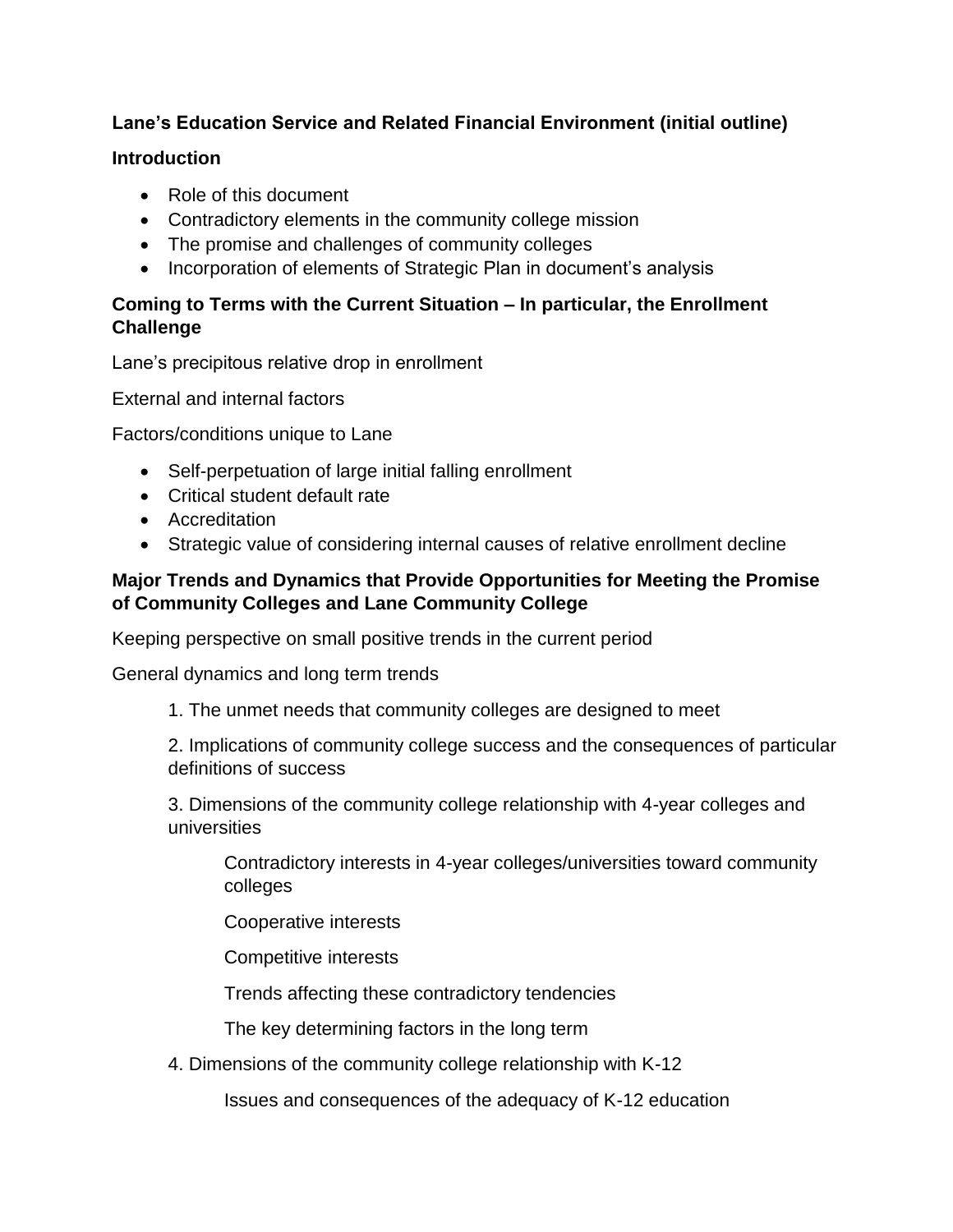# **Lane's Education Service and Related Financial Environment (initial outline)**

### **Introduction**

- Role of this document
- Contradictory elements in the community college mission
- The promise and challenges of community colleges
- Incorporation of elements of Strategic Plan in document's analysis

## **Coming to Terms with the Current Situation – In particular, the Enrollment Challenge**

Lane's precipitous relative drop in enrollment

External and internal factors

Factors/conditions unique to Lane

- Self-perpetuation of large initial falling enrollment
- Critical student default rate
- Accreditation
- Strategic value of considering internal causes of relative enrollment decline

### **Major Trends and Dynamics that Provide Opportunities for Meeting the Promise of Community Colleges and Lane Community College**

Keeping perspective on small positive trends in the current period

General dynamics and long term trends

1. The unmet needs that community colleges are designed to meet

2. Implications of community college success and the consequences of particular definitions of success

3. Dimensions of the community college relationship with 4-year colleges and universities

Contradictory interests in 4-year colleges/universities toward community colleges

Cooperative interests

Competitive interests

Trends affecting these contradictory tendencies

The key determining factors in the long term

4. Dimensions of the community college relationship with K-12

Issues and consequences of the adequacy of K-12 education